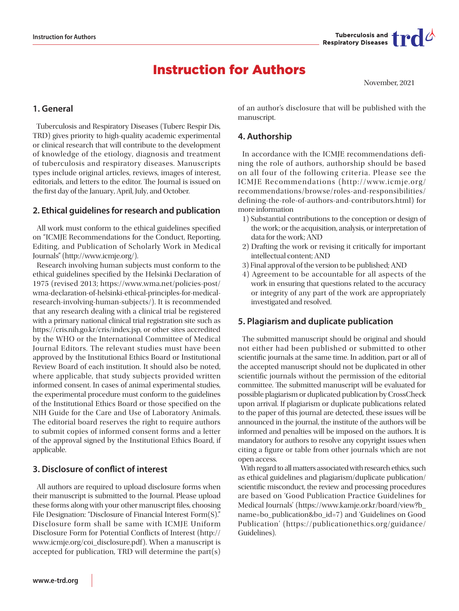

# Instruction for Authors

November, 2021

# **1. General**

 Tuberculosis and Respiratory Diseases (Tuberc Respir Dis, TRD) gives priority to high-quality academic experimental or clinical research that will contribute to the development of knowledge of the etiology, diagnosis and treatment of tuberculosis and respiratory diseases. Manuscripts types include original articles, reviews, images of interest, editorials, and letters to the editor. The Journal is issued on the first day of the January, April, July, and October.

# **2. Ethical guidelines for research and publication**

 All work must conform to the ethical guidelines specified on "ICMJE Recommendations for the Conduct, Reporting, Editing, and Publication of Scholarly Work in Medical Journals" (http://www.icmje.org/).

 Research involving human subjects must conform to the ethical guidelines specified by the Helsinki Declaration of 1975 (revised 2013; [https://www.wma.net/policies-post/](https://www.wma.net/policies-post/wma-declaration-of-helsinki-ethical-principles-for-medical-researc) [wma-declaration-of-helsinki-ethical-principles-for-medical](https://www.wma.net/policies-post/wma-declaration-of-helsinki-ethical-principles-for-medical-researc)[research-involving-human-subjects/\)](https://www.wma.net/policies-post/wma-declaration-of-helsinki-ethical-principles-for-medical-researc). It is recommended that any research dealing with a clinical trial be registered with a primary national clinical trial registration site such as https://cris.nih.go.kr/cris/index.jsp, or other sites accredited by the WHO or the International Committee of Medical Journal Editors. The relevant studies must have been approved by the Institutional Ethics Board or Institutional Review Board of each institution. It should also be noted, where applicable, that study subjects provided written informed consent. In cases of animal experimental studies, the experimental procedure must conform to the guidelines of the Institutional Ethics Board or those specified on the NIH Guide for the Care and Use of Laboratory Animals. The editorial board reserves the right to require authors to submit copies of informed consent forms and a letter of the approval signed by the Institutional Ethics Board, if applicable.

# **3. Disclosure of conflict of interest**

 All authors are required to upload disclosure forms when their manuscript is submitted to the Journal. Please upload these forms along with your other manuscript files, choosing File Designation: "Disclosure of Financial Interest Form(S)." Disclosure form shall be same with ICMJE Uniform Disclosure Form for Potential Conflicts of Interest (http:// www.icmje.org/coi\_disclosure.pdf). When a manuscript is accepted for publication, TRD will determine the part(s)

of an author's disclosure that will be published with the manuscript.

# **4. Authorship**

 In accordance with the ICMJE recommendations defining the role of authors, authorship should be based on all four of the following criteria. Please see the ICMJE Recommendations (http://www.icmje.org/ recommendations/browse/roles-and-responsibilities/ defining-the-role-of-authors-and-contributors.html) for more information

- 1) Substantial contributions to the conception or design of the work; or the acquisition, analysis, or interpretation of data for the work; AND
- 2) Drafting the work or revising it critically for important intellectual content; AND
- 3) Final approval of the version to be published; AND
- 4) Agreement to be accountable for all aspects of the work in ensuring that questions related to the accuracy or integrity of any part of the work are appropriately investigated and resolved.

# **5. Plagiarism and duplicate publication**

 The submitted manuscript should be original and should not either had been published or submitted to other scientific journals at the same time. In addition, part or all of the accepted manuscript should not be duplicated in other scientific journals without the permission of the editorial committee. The submitted manuscript will be evaluated for possible plagiarism or duplicated publication by CrossCheck upon arrival. If plagiarism or duplicate publications related to the paper of this journal are detected, these issues will be announced in the journal, the institute of the authors will be informed and penalties will be imposed on the authors. It is mandatory for authors to resolve any copyright issues when citing a figure or table from other journals which are not open access.

 With regard to all matters associated with research ethics, such as ethical guidelines and plagiarism/duplicate publication/ scientific misconduct, the review and processing procedures are based on 'Good Publication Practice Guidelines for Medical Journals' [\(https://www.kamje.or.kr/board/view?b\\_](https://www.kamje.or.kr/board/view?b_name=bo_publication&bo_id=7) [name=bo\\_publication&bo\\_id=7](https://www.kamje.or.kr/board/view?b_name=bo_publication&bo_id=7)) and 'Guidelines on Good Publication' ([https://publicationethics.org/guidance/](https://publicationethics.org/guidance/Guidelines) [Guidelines](https://publicationethics.org/guidance/Guidelines)).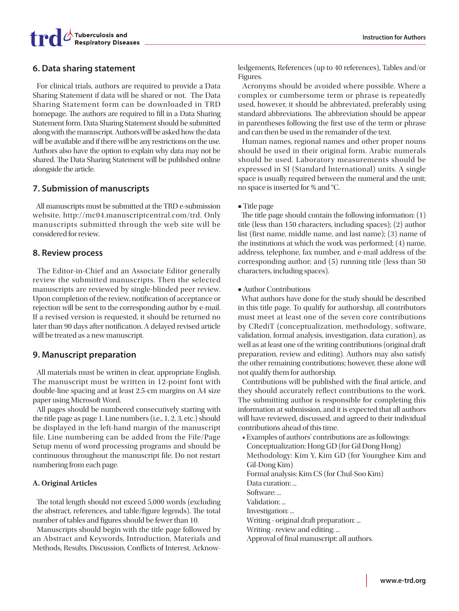

# **6. Data sharing statement**

 For clinical trials, authors are required to provide a Data Sharing Statement if data will be shared or not. The Data Sharing Statement form can be downloaded in TRD homepage. The authors are required to fill in a Data Sharing Statement form. Data Sharing Statement should be submitted along with the manuscript. Authors will be asked how the data will be available and if there will be any restrictions on the use. Authors also have the option to explain why data may not be shared. The Data Sharing Statement will be published online alongside the article.

# **7. Submission of manuscripts**

 All manuscripts must be submitted at the TRD e-submission website, http://mc04.manuscriptcentral.com/trd. Only manuscripts submitted through the web site will be considered for review.

## **8. Review process**

 The Editor-in-Chief and an Associate Editor generally review the submitted manuscripts. Then the selected manuscripts are reviewed by single-blinded peer review. Upon completion of the review, notification of acceptance or rejection will be sent to the corresponding author by e-mail. If a revised version is requested, it should be returned no later than 90 days after notification. A delayed revised article will be treated as a new manuscript.

## **9. Manuscript preparation**

 All materials must be written in clear, appropriate English. The manuscript must be written in 12-point font with double-line spacing and at least 2.5-cm margins on A4 size paper using Microsoft Word.

 All pages should be numbered consecutively starting with the title page as page 1. Line numbers (i.e., 1, 2, 3, etc.) should be displayed in the left-hand margin of the manuscript file. Line numbering can be added from the File/Page Setup menu of word processing programs and should be continuous throughout the manuscript file. Do not restart numbering from each page.

#### **A. Original Articles**

 The total length should not exceed 5,000 words (excluding the abstract, references, and table/figure legends). The total number of tables and figures should be fewer than 10.

 Manuscripts should begin with the title page followed by an Abstract and Keywords, Introduction, Materials and Methods, Results, Discussion, Conflicts of Interest, Acknowledgements, References (up to 40 references), Tables and/or Figures.

 Acronyms should be avoided where possible. Where a complex or cumbersome term or phrase is repeatedly used, however, it should be abbreviated, preferably using standard abbreviations. The abbreviation should be appear in parentheses following the first use of the term or phrase and can then be used in the remainder of the text.

 Human names, regional names and other proper nouns should be used in their original form. Arabic numerals should be used. Laboratory measurements should be expressed in SI (Standard International) units. A single space is usually required between the numeral and the unit; no space is inserted for % and °C.

#### ■ Title page

 The title page should contain the following information: (1) title (less than 150 characters, including spaces); (2) author list (first name, middle name, and last name); (3) name of the institutions at which the work was performed; (4) name, address, telephone, fax number, and e-mail address of the corresponding author; and (5) running title (less than 50 characters, including spaces).

**■** Author Contributions

 What authors have done for the study should be described in this title page. To qualify for authorship, all contributors must meet at least one of the seven core contributions by CRediT (conceptualization, methodology, software, validation, formal analysis, investigation, data curation), as well as at least one of the writing contributions (original draft preparation, review and editing). Authors may also satisfy the other remaining contributions; however, these alone will not qualify them for authorship.

 Contributions will be published with the final article, and they should accurately reflect contributions to the work. The submitting author is responsible for completing this information at submission, and it is expected that all authors will have reviewed, discussed, and agreed to their individual contributions ahead of this time.

• Examples of authors' contributions are as followings: Conceptualization: Hong GD (for Gil Dong Hong) Methodology: Kim Y, Kim GD (for Younghee Kim and Gil-Dong Kim) Formal analysis: Kim CS (for Chul-Soo Kim) Data curation: ... Software: ... Validation: ... Investigation: ... Writing - original draft preparation: ... Writing - review and editing: ... Approval of final manuscript: all authors.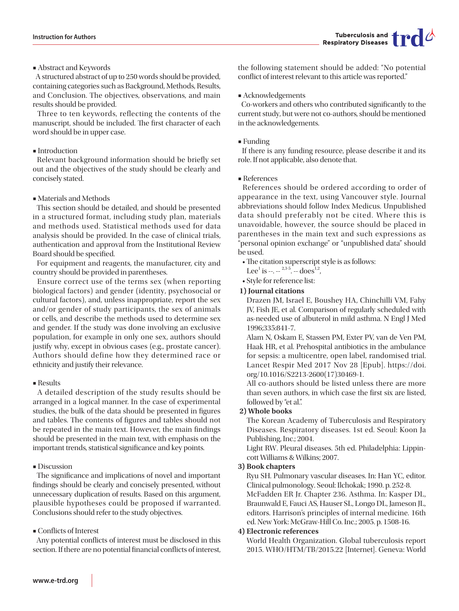#### **■** Abstract and Keywords

 A structured abstract of up to 250 words should be provided, containing categories such as Background, Methods, Results, and Conclusion. The objectives, observations, and main results should be provided.

 Three to ten keywords, reflecting the contents of the manuscript, should be included. The first character of each word should be in upper case.

#### **■** Introduction

 Relevant background information should be briefly set out and the objectives of the study should be clearly and concisely stated.

#### **■** Materials and Methods

 This section should be detailed, and should be presented in a structured format, including study plan, materials and methods used. Statistical methods used for data analysis should be provided. In the case of clinical trials, authentication and approval from the Institutional Review Board should be specified.

 For equipment and reagents, the manufacturer, city and country should be provided in parentheses.

 Ensure correct use of the terms sex (when reporting biological factors) and gender (identity, psychosocial or cultural factors), and, unless inappropriate, report the sex and/or gender of study participants, the sex of animals or cells, and describe the methods used to determine sex and gender. If the study was done involving an exclusive population, for example in only one sex, authors should justify why, except in obvious cases (e.g., prostate cancer). Authors should define how they determined race or ethnicity and justify their relevance.

#### **■** Results

 A detailed description of the study results should be arranged in a logical manner. In the case of experimental studies, the bulk of the data should be presented in figures and tables. The contents of figures and tables should not be repeated in the main text. However, the main findings should be presented in the main text, with emphasis on the important trends, statistical significance and key points.

#### **■** Discussion

 The significance and implications of novel and important findings should be clearly and concisely presented, without unnecessary duplication of results. Based on this argument, plausible hypotheses could be proposed if warranted. Conclusions should refer to the study objectives.

#### **■** Conflicts of Interest

 Any potential conflicts of interest must be disclosed in this section. If there are no potential financial conflicts of interest,

the following statement should be added: "No potential conflict of interest relevant to this article was reported."

#### **■** Acknowledgements

 Co-workers and others who contributed significantly to the current study, but were not co-authors, should be mentioned in the acknowledgements.

#### **■** Funding

 If there is any funding resource, please describe it and its role. If not applicable, also denote that.

#### ■ References

 References should be ordered according to order of appearance in the text, using Vancouver style. Journal abbreviations should follow Index Medicus. Unpublished data should preferably not be cited. Where this is unavoidable, however, the source should be placed in parentheses in the main text and such expressions as "personal opinion exchange" or "unpublished data" should be used.

- The citation superscript style is as follows:
- Lee<sup>1</sup> is --.  $-$ <sup>2,3-5</sup>. -- does<sup>1,2</sup>,
- Style for reference list:

#### **1) Journal citations**

Drazen JM, Israel E, Boushey HA, Chinchilli VM, Fahy JV, Fish JE, et al. Comparison of regularly scheduled with as-needed use of albuterol in mild asthma. N Engl J Med 1996;335:841-7.

Alam N, Oskam E, Stassen PM, Exter PV, van de Ven PM, Haak HR, et al. Prehospital antibiotics in the ambulance for sepsis: a multicentre, open label, randomised trial. Lancet Respir Med 2017 Nov 28 [Epub]. https://doi. org/10.1016/S2213-2600(17)30469-1.

All co-authors should be listed unless there are more than seven authors, in which case the first six are listed, followed by "et al.".

#### **2) Whole books**

The Korean Academy of Tuberculosis and Respiratory Diseases. Respiratory diseases. 1st ed. Seoul: Koon Ja Publishing, Inc.; 2004.

Light RW. Pleural diseases. 5th ed. Philadelphia: Lippincott Williams & Wilkins; 2007.

#### **3) Book chapters**

Ryu SH. Pulmonary vascular diseases. In: Han YC, editor. Clinical pulmonology. Seoul: Ilchokak; 1990. p. 252-8. McFadden ER Jr. Chapter 236. Asthma. In: Kasper DL, Braunwald E, Fauci AS, Hauser SL, Longo DL, Jameson JL, editors. Harrison's principles of internal medicine. 16th ed. New York: McGraw-Hill Co. Inc.; 2005. p. 1508-16.

#### **4) Electronic references**

World Health Organization. Global tuberculosis report 2015. WHO/HTM/TB/2015.22 [Internet]. Geneva: World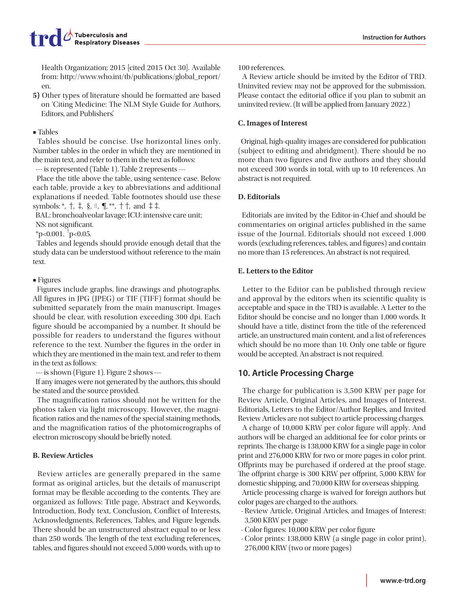Health Organization; 2015 [cited 2015 Oct 30]. Available from: http://www.who.int/tb/publications/global\_report/ en.

**5)** Other types of literature should be formatted are based on 'Citing Medicine: The NLM Style Guide for Authors, Editors, and Publishers'.

#### **■** Tables

 Tables should be concise. Use horizontal lines only. Number tables in the order in which they are mentioned in the main text, and refer to them in the text as follows:

--- is represented (Table 1). Table 2 represents ---

 Place the title above the table, using sentence case. Below each table, provide a key to abbreviations and additional explanations if needed. Table footnotes should use these symbols: \*, †, ‡, §, ||, ¶, \*\*, † †, and ‡ ‡.

BAL: bronchoalveolar lavage; ICU: intensive care unit;

NS: not significant.

\*p<0.001.  $\frac{1}{1}$ p<0.05.

 Tables and legends should provide enough detail that the study data can be understood without reference to the main text.

#### **■** Figures

 Figures include graphs, line drawings and photographs. All figures in JPG (JPEG) or TIF (TIFF) format should be submitted separately from the main manuscript. Images should be clear, with resolution exceeding 300 dpi. Each figure should be accompanied by a number. It should be possible for readers to understand the figures without reference to the text. Number the figures in the order in which they are mentioned in the main text, and refer to them in the text as follows:

--- is shown (Figure 1). Figure 2 shows ---

 If any images were not generated by the authors, this should be stated and the source provided.

 The magnification ratios should not be written for the photos taken via light microscopy. However, the magnification ratios and the names of the special staining methods, and the magnification ratios of the photomicrographs of electron microscopy should be briefly noted.

#### **B. Review Articles**

 Review articles are generally prepared in the same format as original articles, but the details of manuscript format may be flexible according to the contents. They are organized as follows: Title page, Abstract and Keywords, Introduction, Body text, Conclusion, Conflict of Interests, Acknowledgments, References, Tables, and Figure legends. There should be an unstructured abstract equal to or less than 250 words. The length of the text excluding references, tables, and figures should not exceed 5,000 words, with up to 100 references.

 A Review article should be invited by the Editor of TRD. Uninvited review may not be approved for the submission. Please contact the editorial office if you plan to submit an uninvited review. (It will be applied from January 2022.)

#### **C. Images of Interest**

 Original, high-quality images are considered for publication (subject to editing and abridgment). There should be no more than two figures and five authors and they should not exceed 300 words in total, with up to 10 references. An abstract is not required.

#### **D. Editorials**

 Editorials are invited by the Editor-in-Chief and should be commentaries on original articles published in the same issue of the Journal. Editorials should not exceed 1,000 words (excluding references, tables, and figures) and contain no more than 15 references. An abstract is not required.

#### **E. Letters to the Editor**

 Letter to the Editor can be published through review and approval by the editors when its scientific quality is acceptable and space in the TRD is available. A Letter to the Editor should be concise and no longer than 1,000 words. It should have a title, distinct from the title of the referenced article, an unstructured main content, and a list of references which should be no more than 10. Only one table or figure would be accepted. An abstract is not required.

# **10. Article Processing Charge**

 The charge for publication is 3,500 KRW per page for Review Article, Original Articles, and Images of Interest. Editorials, Letters to the Editor/Author Replies, and Invited Review Articles are not subject to article processing charges.

 A charge of 10,000 KRW per color figure will apply. And authors will be charged an additional fee for color prints or reprints. The charge is 138,000 KRW for a single page in color print and 276,000 KRW for two or more pages in color print. Offprints may be purchased if ordered at the proof stage. The offprint charge is 300 KRW per offprint, 5,000 KRW for domestic shipping, and 70,000 KRW for overseas shipping.

 Article processing charge is waived for foreign authors but color pages are charged to the authors.

- Review Article, Original Articles, and Images of Interest: 3,500 KRW per page
- Color figures: 10,000 KRW per color figure
- Color prints: 138,000 KRW (a single page in color print), 276,000 KRW (two or more pages)